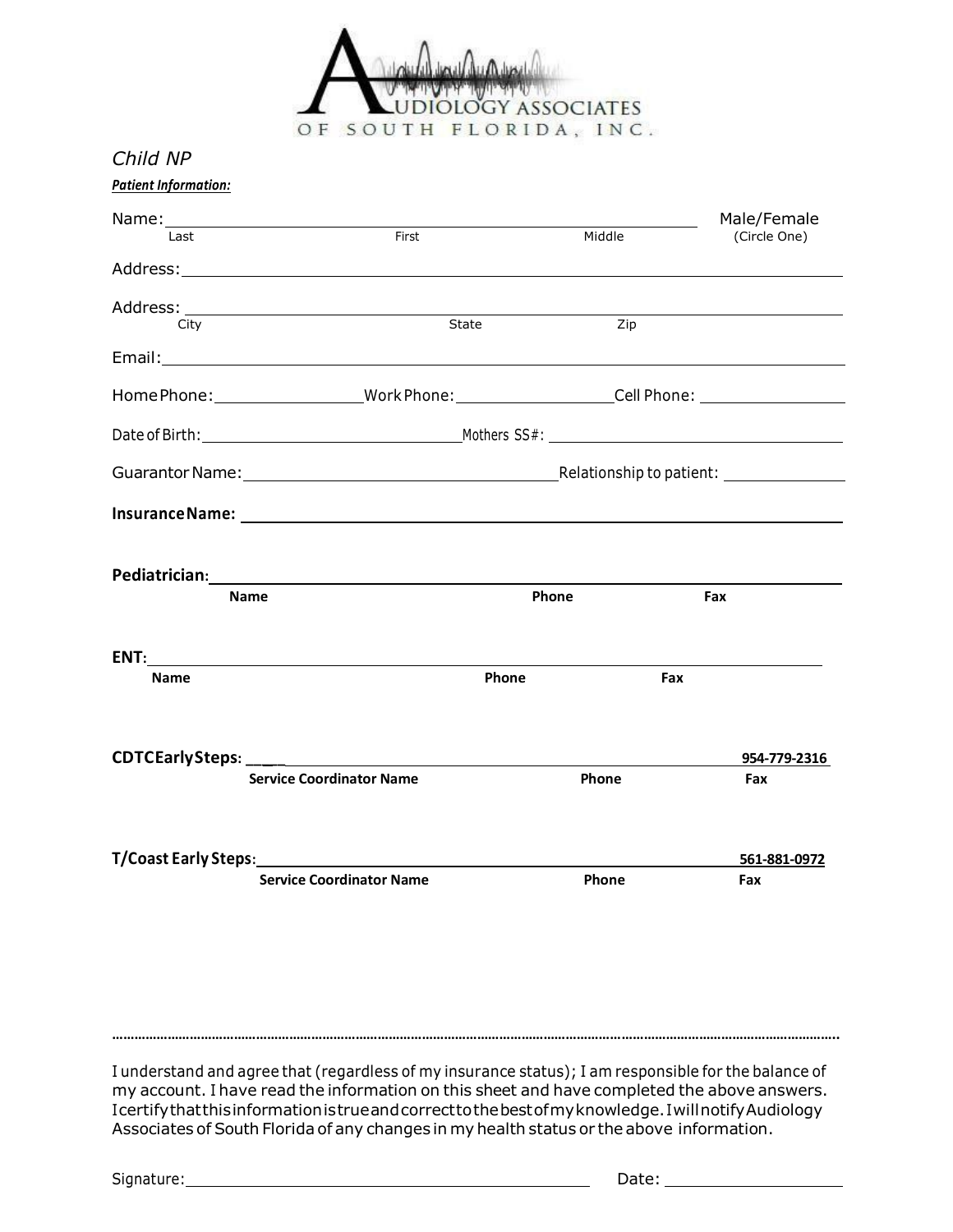

*Child NP*

|             |                                                                                                                                                                                                                                                                   |        | Male/Female         |
|-------------|-------------------------------------------------------------------------------------------------------------------------------------------------------------------------------------------------------------------------------------------------------------------|--------|---------------------|
| Last        | First                                                                                                                                                                                                                                                             | Middle | (Circle One)        |
|             |                                                                                                                                                                                                                                                                   |        |                     |
|             | State                                                                                                                                                                                                                                                             |        |                     |
| City        |                                                                                                                                                                                                                                                                   | Zip    |                     |
|             |                                                                                                                                                                                                                                                                   |        |                     |
|             | Home Phone: ___________________Work Phone: ______________________Cell Phone: ______________________                                                                                                                                                               |        |                     |
|             |                                                                                                                                                                                                                                                                   |        |                     |
|             |                                                                                                                                                                                                                                                                   |        |                     |
|             |                                                                                                                                                                                                                                                                   |        |                     |
|             | Pediatrician: District of the Contract of the Contract of the Contract of the Contract of the Contract of the Contract of the Contract of the Contract of the Contract of the Contract of the Contract of the Contract of the                                     |        |                     |
|             |                                                                                                                                                                                                                                                                   |        |                     |
|             | <b>Name</b>                                                                                                                                                                                                                                                       | Phone  | Fax                 |
| <b>Name</b> | Phone                                                                                                                                                                                                                                                             |        | Fax                 |
|             |                                                                                                                                                                                                                                                                   |        |                     |
|             | <b>Service Coordinator Name</b>                                                                                                                                                                                                                                   | Phone  | Fax                 |
|             |                                                                                                                                                                                                                                                                   |        | 954-779-2316        |
|             | T/Coast Early Steps: The contract of the contract of the contract of the contract of the contract of the contract of the contract of the contract of the contract of the contract of the contract of the contract of the contr<br><b>Service Coordinator Name</b> | Phone  | 561-881-0972<br>Fax |
|             |                                                                                                                                                                                                                                                                   |        |                     |
|             |                                                                                                                                                                                                                                                                   |        |                     |
|             |                                                                                                                                                                                                                                                                   |        |                     |

I understand and agree that (regardless of my insurance status); I am responsible for the balance of my account. I have read the information on this sheet and have completed the above answers. Icertifythatthisinformationistrueandcorrecttothebestofmyknowledge.IwillnotifyAudiology Associates of South Florida of any changes in my health status or the above information.

Signature: Date: Discovery and Date: Date: Date: Date: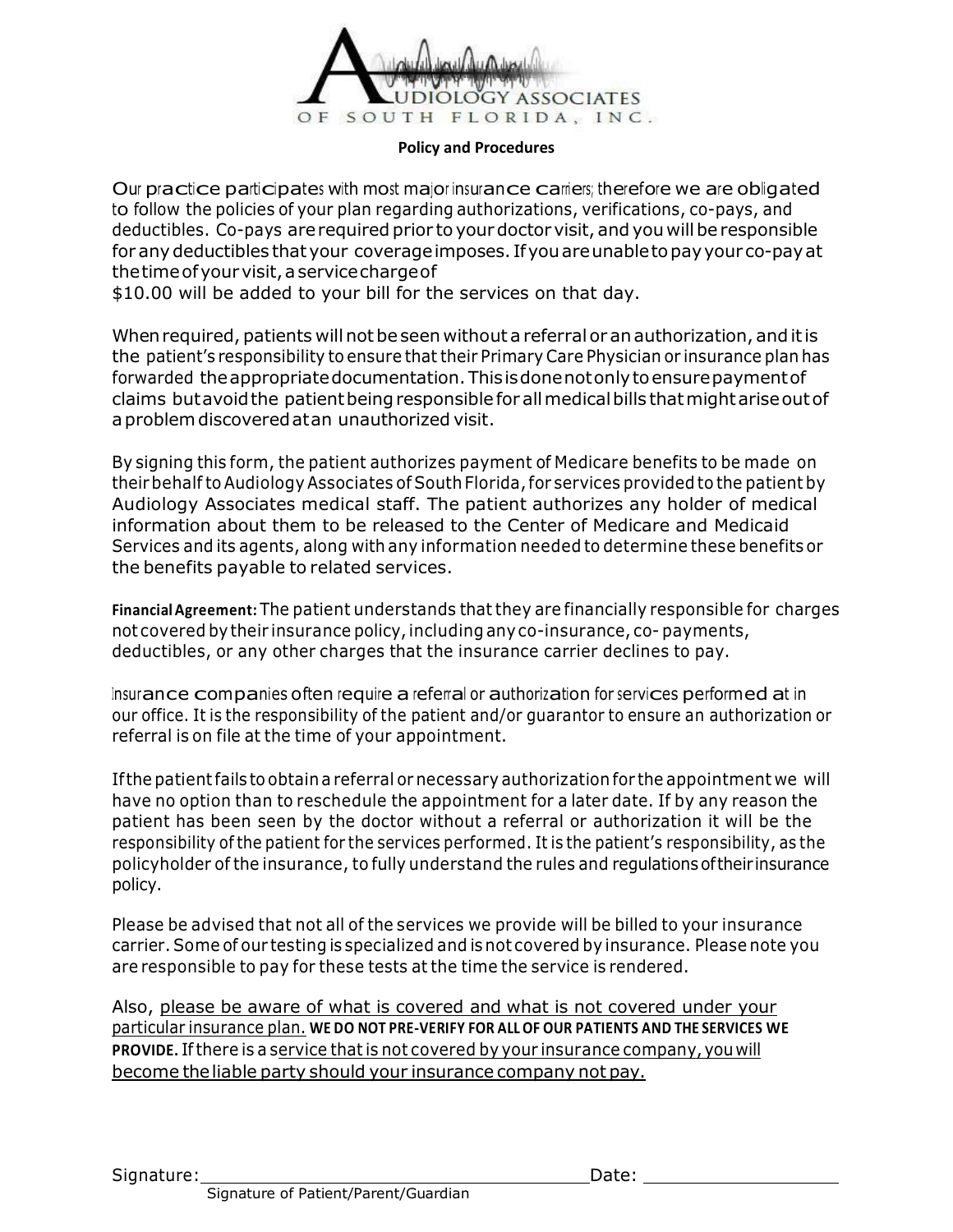

#### **Policy and Procedures**

Our practice participates with most major insurance carriers; therefore we are obligated to follow the policies of your plan regarding authorizations, verifications, co-pays, and deductibles. Co-pays are required prior to your doctor visit, and you will be responsible for anydeductibles that your coverageimposes. Ifyouareunabletopayyour co-payat thetimeofyourvisit,aservicechargeof

\$10.00 will be added to your bill for the services on that day.

When required, patients will not be seen without a referral or an authorization, and it is the patient's responsibility to ensure that their Primary Care Physician or insurance plan has forwarded theappropriatedocumentation.Thisisdonenotonlytoensurepaymentof claims but avoid the patient being responsible for all medical bills that might arise out of aproblemdiscoveredatan unauthorized visit.

By signing this form, the patient authorizes payment of Medicare benefits to be made on theirbehalf to Audiology Associates of South Florida,for services provided to the patient by Audiology Associates medical staff. The patient authorizes any holder of medical information about them to be released to the Center of Medicare and Medicaid Services and its agents, along with any information needed to determine these benefits or the benefits payable to related services.

**FinancialAgreement:** The patient understands that they are financially responsible for charges not covered bytheir insurance policy,including anyco-insurance, co- payments, deductibles, or any other charges that the insurance carrier declines to pay.

Insurance companies often require a referral or authorization for services performed at in our office. It is the responsibility of the patient and/or guarantor to ensure an authorization or referral is on file at the time of your appointment.

Ifthe patientfails to obtaina referral or necessary authorization for the appointment we will have no option than to reschedule the appointment for a later date. If by any reason the patient has been seen by the doctor without a referral or authorization it will be the responsibility of the patient for the services performed. It is the patient's responsibility, as the policyholder of the insurance, to fully understand the rules and regulationsoftheir insurance policy.

Please be advised that not all of the services we provide will be billed to your insurance carrier.Some of our testing is specialized and is not covered by insurance. Please note you are responsible to pay for these tests at the time the service is rendered.

Also, please be aware of what is covered and what is not covered under your particular insurance plan. **WE DO NOT PRE-VERIFY FOR ALL OF OUR PATIENTS AND THE SERVICES WE PROVIDE.** Ifthere is a service thatis not covered by your insurance company,youwill become theliable party should your insurance company not pay.

Signature: Date: Date: Date: Date: Date: Date: Date: Date: Date: Date: Date: Date: Date: Date: Date: Date: Date: Date: Date: Date: Date: Date: Date: Date: Date: Date: Date: Date: Date: Date: Date: Date: Date: Date: Date: D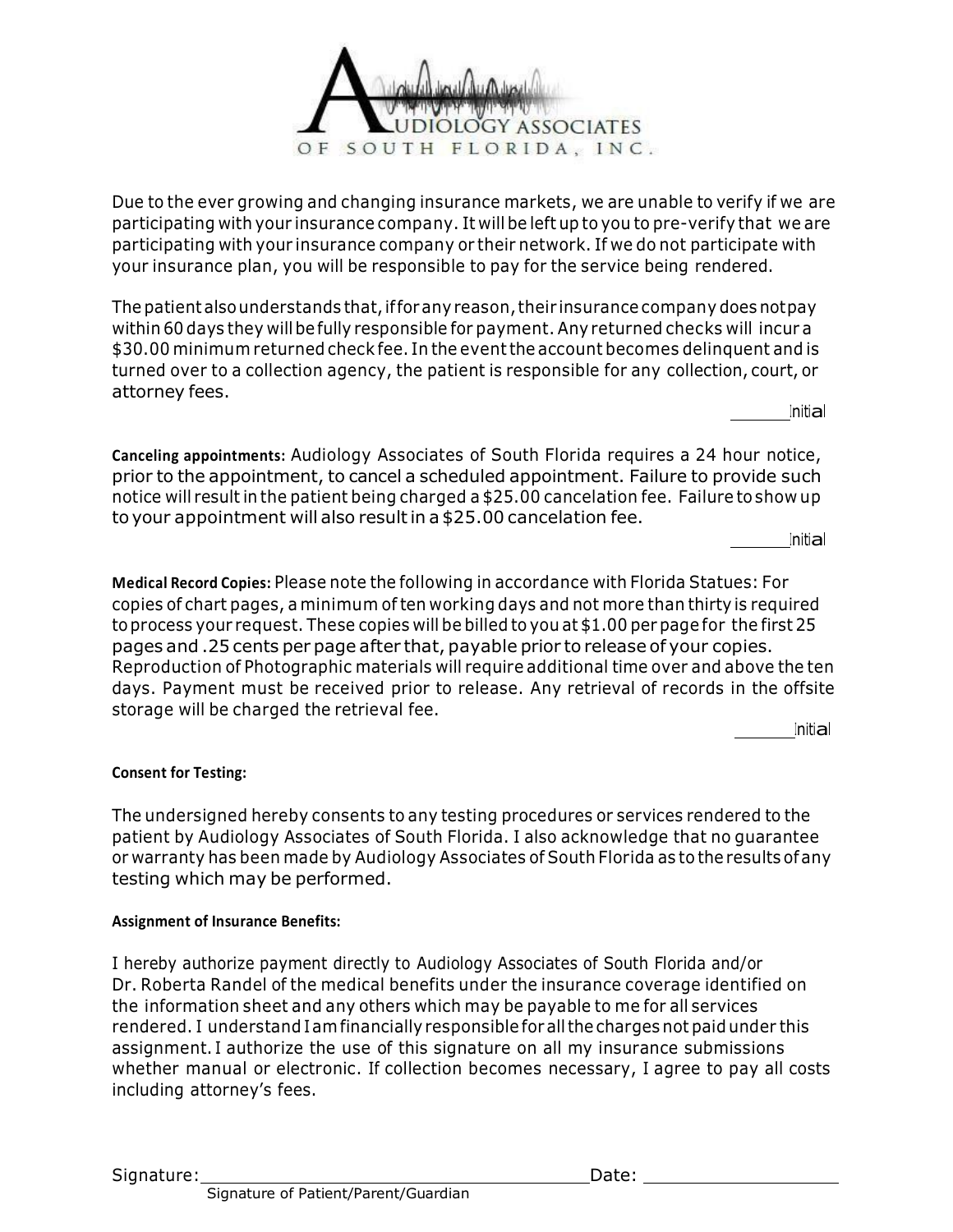

Due to the ever growing and changing insurance markets, we are unable to verify if we are participating with your insurance company. It will be left up to you to pre-verify that we are participating with your insurance company or their network. If we do not participate with your insurance plan, you will be responsible to pay for the service being rendered.

The patient also understands that, if for any reason, their insurance company does notpay within 60 days they will befully responsible for payment. Any returned checks will incur a \$30.00 minimum returned check fee. In the eventthe account becomes delinquent and is turned over to a collection agency, the patient is responsible for any collection, court, or attorney fees.

**Initial** 

**Canceling appointments:** Audiology Associates of South Florida requires a 24 hour notice, prior to the appointment, to cancel a scheduled appointment. Failure to provide such notice will result in the patient being charged a \$25.00 cancelation fee. Failure to show up to your appointment will also resultin a \$25.00 cancelation fee.

Initial

**Medical Record Copies:** Please note the following in accordance with Florida Statues: For copies of chart pages, a minimum often working days and not more than thirty is required toprocess your request. These copies will be billed to you at \$1.00 per page for the first 25 pages and .25 cents per page after that, payable prior to release of your copies. Reproduction of Photographic materials will require additional time over and above the ten days. Payment must be received prior to release. Any retrieval of records in the offsite storage will be charged the retrieval fee.

Initial

## **Consent for Testing:**

The undersigned hereby consents to any testing procedures or services rendered to the patient by Audiology Associates of South Florida. I also acknowledge that no guarantee or warranty has been made by Audiology Associates of South Florida as to the results ofany testing which may be performed.

#### **Assignment of Insurance Benefits:**

I hereby authorize payment directly to Audiology Associates of South Florida and/or Dr. Roberta Randel of the medical benefits under the insurance coverage identified on the information sheet and any others which may be payable to me for all services rendered. I understand Iamfinancially responsible for allthe charges not paid under this assignment. I authorize the use of this signature on all my insurance submissions whether manual or electronic. If collection becomes necessary, I agree to pay all costs including attorney's fees.

Signature: Date: Date: Date: Date: Date: Date: Date: Date: Date: Date: Date: Date: Date: Date: Date: Date: Date: Date: Date: Date: Date: Date: Date: Date: Date: Date: Date: Date: Date: Date: Date: Date: Date: Date: Date: D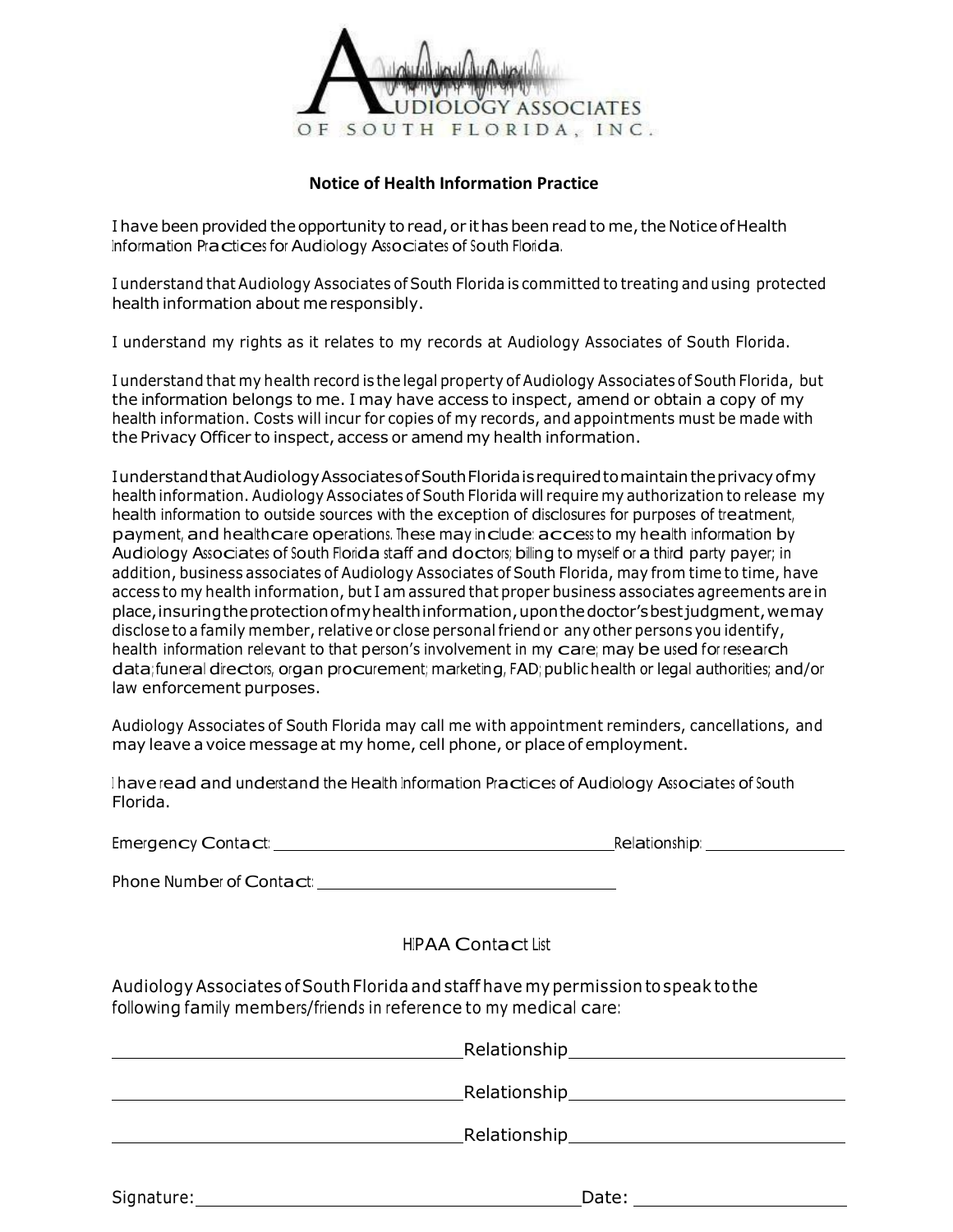

#### **Notice of Health Information Practice**

I have been provided the opportunity to read, or it has been read to me, the Notice of Health Information Practices for Audiology Associates of South Florida.

I understand that Audiology Associates of South Florida is committed to treating and using protected health information about meresponsibly.

I understand my rights as it relates to my records at Audiology Associates of South Florida.

I understand that my health record is the legal property of Audiology Associates of South Florida, but the information belongs to me. I may have access to inspect, amend or obtain a copy of my health information. Costs will incur for copies of my records, and appointments must be made with the Privacy Officer to inspect, access or amend my health information.

IunderstandthatAudiologyAssociatesofSouthFloridaisrequiredtomaintaintheprivacyofmy health information. Audiology Associates of South Florida will require my authorization to release my health information to outside sources with the exception of disclosures for purposes of treatment, payment, and healthcare operations. These may include: access to my health information by Audiology Associates of South Florida staff and doctors; billing to myself or a third party payer; in addition, business associates of Audiology Associates of South Florida, may from time to time, have access to my health information, but I am assured that proper business associates agreements are in place,insuringtheprotectionofmyhealthinformation,uponthedoctor'sbestjudgment,wemay disclose to a family member, relative or close personal friend or any other persons you identify, health information relevant to that person's involvement in my care; may be used for research data; funeral directors, organ procurement; marketing, FAD; public health or legal authorities; and/or law enforcement purposes.

Audiology Associates of South Florida may call me with appointment reminders, cancellations, and may leave a voice message at my home, cell phone, or place of employment.

<sup>I</sup> have read and understand the Health Information Practices of Audiology Associates of South Florida.

| Emergency Contact: |  |
|--------------------|--|
|                    |  |

Emergency Contact: Relationship: All and Contact: Relationship: All and Contact: Relationship: All and Contact: Relationship: All and Contact: Relationship: All and Contact: Relationship: All and Contact: Relationship: All

Phone Number of Contact: \_\_\_\_\_\_\_\_\_\_\_\_

# HIPAA Contact List

Audiology Associates ofSouthFlorida and staff have mypermission tospeak tothe following family members/friends in reference to my medical care:

| Relationship |  |
|--------------|--|
|              |  |
| Relationship |  |
|              |  |

| Signature: | Date: |
|------------|-------|
|            |       |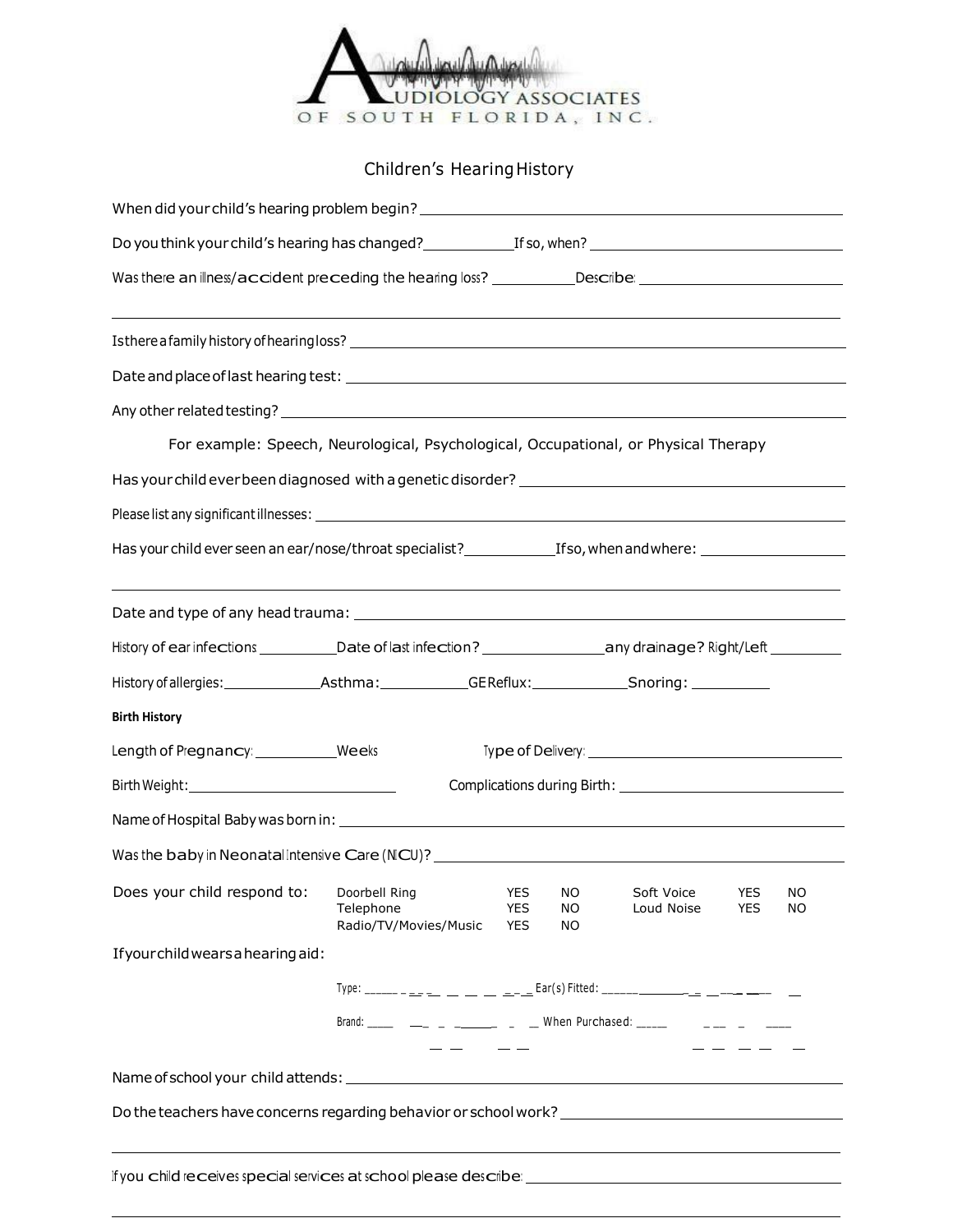

# Children's Hearing History

| Was there an illness/accident preceding the hearing loss? __________Describe: ______________________<br>,我们也不会有什么。""我们的人,我们也不会有什么?""我们的人,我们也不会有什么?""我们的人,我们也不会有什么?""我们的人,我们也不会有什么?""我们的人<br>For example: Speech, Neurological, Psychological, Occupational, or Physical Therapy |                                                                                                                                                                                                                                                                                                                                                                                                                                                                            |                                        |                  |                          |                          |          |
|---------------------------------------------------------------------------------------------------------------------------------------------------------------------------------------------------------------------------------------------------------------------------------|----------------------------------------------------------------------------------------------------------------------------------------------------------------------------------------------------------------------------------------------------------------------------------------------------------------------------------------------------------------------------------------------------------------------------------------------------------------------------|----------------------------------------|------------------|--------------------------|--------------------------|----------|
|                                                                                                                                                                                                                                                                                 |                                                                                                                                                                                                                                                                                                                                                                                                                                                                            |                                        |                  |                          |                          |          |
|                                                                                                                                                                                                                                                                                 |                                                                                                                                                                                                                                                                                                                                                                                                                                                                            |                                        |                  |                          |                          |          |
|                                                                                                                                                                                                                                                                                 |                                                                                                                                                                                                                                                                                                                                                                                                                                                                            |                                        |                  |                          |                          |          |
|                                                                                                                                                                                                                                                                                 |                                                                                                                                                                                                                                                                                                                                                                                                                                                                            |                                        |                  |                          |                          |          |
|                                                                                                                                                                                                                                                                                 |                                                                                                                                                                                                                                                                                                                                                                                                                                                                            |                                        |                  |                          |                          |          |
|                                                                                                                                                                                                                                                                                 |                                                                                                                                                                                                                                                                                                                                                                                                                                                                            |                                        |                  |                          |                          |          |
|                                                                                                                                                                                                                                                                                 |                                                                                                                                                                                                                                                                                                                                                                                                                                                                            |                                        |                  |                          |                          |          |
|                                                                                                                                                                                                                                                                                 |                                                                                                                                                                                                                                                                                                                                                                                                                                                                            |                                        |                  |                          |                          |          |
|                                                                                                                                                                                                                                                                                 |                                                                                                                                                                                                                                                                                                                                                                                                                                                                            |                                        |                  |                          |                          |          |
| ,我们也不能会在这里,我们的人们就会在这里,我们的人们就会在这里,我们的人们就会在这里,我们的人们就会在这里,我们的人们就会在这里,我们的人们就会在这里,我们的                                                                                                                                                                                                |                                                                                                                                                                                                                                                                                                                                                                                                                                                                            |                                        |                  |                          |                          |          |
| History of ear infections ____________Date of last infection? ______________________any drainage? Right/Left __________                                                                                                                                                         |                                                                                                                                                                                                                                                                                                                                                                                                                                                                            |                                        |                  |                          |                          |          |
|                                                                                                                                                                                                                                                                                 |                                                                                                                                                                                                                                                                                                                                                                                                                                                                            |                                        |                  |                          |                          |          |
| <b>Birth History</b>                                                                                                                                                                                                                                                            |                                                                                                                                                                                                                                                                                                                                                                                                                                                                            |                                        |                  |                          |                          |          |
| Length of Pregnancy: Weeks                                                                                                                                                                                                                                                      |                                                                                                                                                                                                                                                                                                                                                                                                                                                                            |                                        |                  |                          |                          |          |
|                                                                                                                                                                                                                                                                                 |                                                                                                                                                                                                                                                                                                                                                                                                                                                                            |                                        |                  |                          |                          |          |
|                                                                                                                                                                                                                                                                                 |                                                                                                                                                                                                                                                                                                                                                                                                                                                                            |                                        |                  |                          |                          |          |
| Was the baby in Neonatal Intensive Care (NICU)? _________________________________                                                                                                                                                                                               |                                                                                                                                                                                                                                                                                                                                                                                                                                                                            |                                        |                  |                          |                          |          |
| Does your child respond to:                                                                                                                                                                                                                                                     | Doorbell Ring<br>Telephone<br>Radio/TV/Movies/Music                                                                                                                                                                                                                                                                                                                                                                                                                        | <b>YES</b><br><b>YES</b><br><b>YES</b> | NO.<br>ΝO<br>NO. | Soft Voice<br>Loud Noise | <b>YES</b><br><b>YES</b> | ΝO<br>ΝO |
| If your child wears a hearing aid:                                                                                                                                                                                                                                              |                                                                                                                                                                                                                                                                                                                                                                                                                                                                            |                                        |                  |                          |                          |          |
|                                                                                                                                                                                                                                                                                 | Type: ______ _ __ __ __ __ __ __ __ ___ Ear(s) Fitted: ______________ __ __ __________ __                                                                                                                                                                                                                                                                                                                                                                                  |                                        |                  |                          |                          |          |
|                                                                                                                                                                                                                                                                                 | Brand: _____ _ __ _ _ _ _ _____ _ _ When Purchased: _____                                                                                                                                                                                                                                                                                                                                                                                                                  |                                        |                  |                          |                          |          |
|                                                                                                                                                                                                                                                                                 | $\frac{1}{2} \left( \frac{1}{2} \right) \left( \frac{1}{2} \right) \left( \frac{1}{2} \right) \left( \frac{1}{2} \right) \left( \frac{1}{2} \right) \left( \frac{1}{2} \right) \left( \frac{1}{2} \right) \left( \frac{1}{2} \right) \left( \frac{1}{2} \right) \left( \frac{1}{2} \right) \left( \frac{1}{2} \right) \left( \frac{1}{2} \right) \left( \frac{1}{2} \right) \left( \frac{1}{2} \right) \left( \frac{1}{2} \right) \left( \frac{1}{2} \right) \left( \frac$ |                                        |                  |                          |                          |          |
| Do the teachers have concerns regarding behavior or school work? __________________________________                                                                                                                                                                             |                                                                                                                                                                                                                                                                                                                                                                                                                                                                            |                                        |                  |                          |                          |          |
|                                                                                                                                                                                                                                                                                 |                                                                                                                                                                                                                                                                                                                                                                                                                                                                            |                                        |                  |                          |                          |          |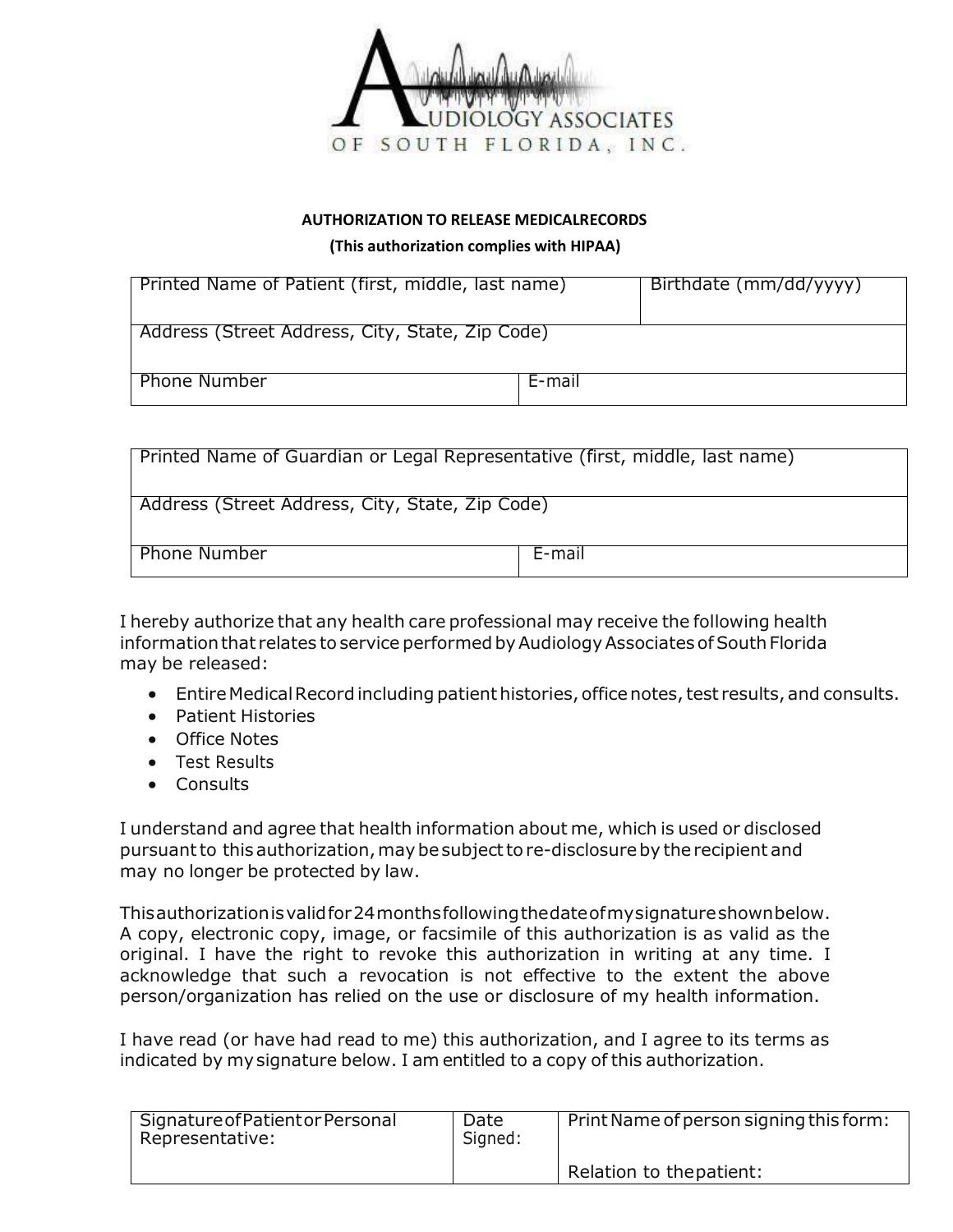

#### **AUTHORIZATION TO RELEASE MEDICALRECORDS**

**(This authorization complies with HIPAA)**

| Printed Name of Patient (first, middle, last name) |        | Birthdate (mm/dd/yyyy) |
|----------------------------------------------------|--------|------------------------|
| Address (Street Address, City, State, Zip Code)    |        |                        |
| <b>Phone Number</b>                                | E-mail |                        |

| Printed Name of Guardian or Legal Representative (first, middle, last name) |        |  |
|-----------------------------------------------------------------------------|--------|--|
| Address (Street Address, City, State, Zip Code)                             |        |  |
| <b>Phone Number</b>                                                         | E-mail |  |

I hereby authorize that any health care professional may receive the following health information that relates to service performed by Audiology Associates of South Florida may be released:

- Entire Medical Record including patient histories, office notes, test results, and consults.
- Patient Histories
- Office Notes
- Test Results
- **Consults**

I understand and agree that health information about me, which is used or disclosed pursuant to this authorization, may be subject to re-disclosure by the recipient and may no longer be protected by law.

Thisauthorizationisvalidfor24monthsfollowingthedateofmysignatureshownbelow. A copy, electronic copy, image, or facsimile of this authorization is as valid as the original. I have the right to revoke this authorization in writing at any time. I acknowledge that such a revocation is not effective to the extent the above person/organization has relied on the use or disclosure of my health information.

I have read (or have had read to me) this authorization, and I agree to its terms as indicated by mysignature below. I am entitled to a copy of this authorization.

| Signature of Patient or Personal<br>Representative: | Date<br>Signed: | Print Name of person signing this form: |
|-----------------------------------------------------|-----------------|-----------------------------------------|
|                                                     |                 | Relation to the patient:                |